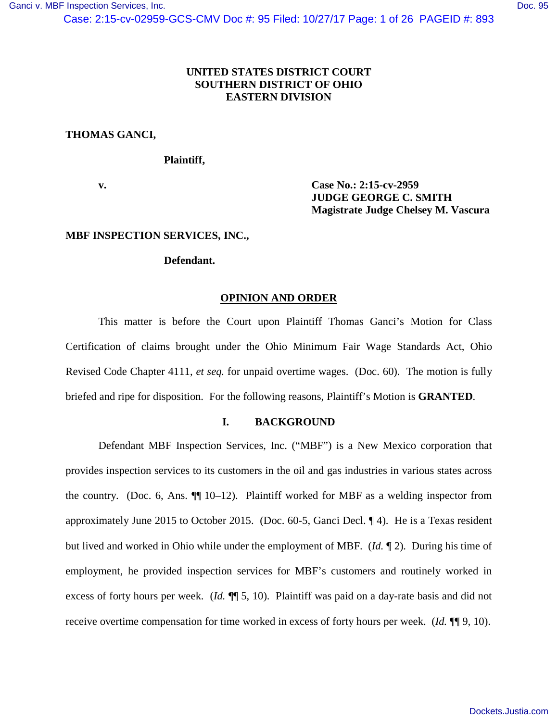# **UNITED STATES DISTRICT COURT SOUTHERN DISTRICT OF OHIO EASTERN DIVISION**

# **THOMAS GANCI,**

# **Plaintiff,**

**v. Case No.: 2:15-cv-2959 JUDGE GEORGE C. SMITH Magistrate Judge Chelsey M. Vascura**

## **MBF INSPECTION SERVICES, INC.,**

## **Defendant.**

## **OPINION AND ORDER**

This matter is before the Court upon Plaintiff Thomas Ganci's Motion for Class Certification of claims brought under the Ohio Minimum Fair Wage Standards Act, Ohio Revised Code Chapter 4111, *et seq.* for unpaid overtime wages. (Doc. 60). The motion is fully briefed and ripe for disposition. For the following reasons, Plaintiff's Motion is **GRANTED**.

## **I. BACKGROUND**

Defendant MBF Inspection Services, Inc. ("MBF") is a New Mexico corporation that provides inspection services to its customers in the oil and gas industries in various states across the country. (Doc. 6, Ans. ¶¶ 10–12). Plaintiff worked for MBF as a welding inspector from approximately June 2015 to October 2015. (Doc. 60-5, Ganci Decl. ¶ 4). He is a Texas resident but lived and worked in Ohio while under the employment of MBF. (*Id.* ¶ 2). During his time of employment, he provided inspection services for MBF's customers and routinely worked in excess of forty hours per week. (*Id.*  $\P$ [5, 10). Plaintiff was paid on a day-rate basis and did not receive overtime compensation for time worked in excess of forty hours per week. (*Id.* ¶¶ 9, 10).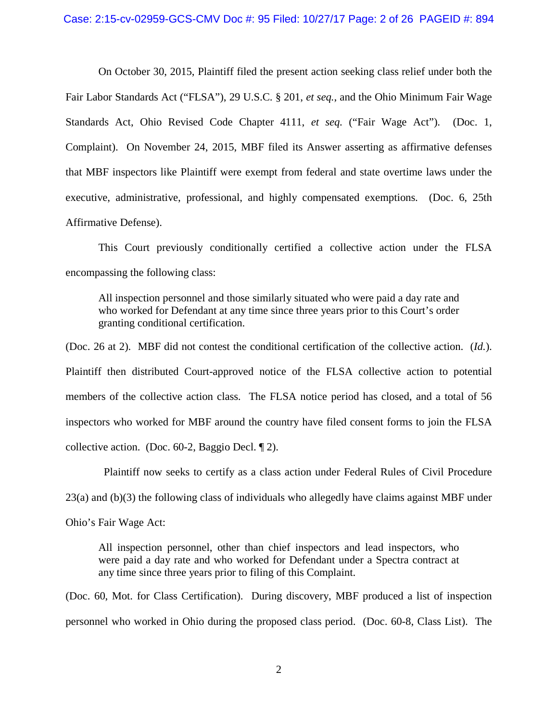#### Case: 2:15-cv-02959-GCS-CMV Doc #: 95 Filed: 10/27/17 Page: 2 of 26 PAGEID #: 894

On October 30, 2015, Plaintiff filed the present action seeking class relief under both the Fair Labor Standards Act ("FLSA"), 29 U.S.C. § 201, *et seq.*, and the Ohio Minimum Fair Wage Standards Act, Ohio Revised Code Chapter 4111, *et seq.* ("Fair Wage Act"). (Doc. 1, Complaint). On November 24, 2015, MBF filed its Answer asserting as affirmative defenses that MBF inspectors like Plaintiff were exempt from federal and state overtime laws under the executive, administrative, professional, and highly compensated exemptions. (Doc. 6, 25th Affirmative Defense).

This Court previously conditionally certified a collective action under the FLSA encompassing the following class:

All inspection personnel and those similarly situated who were paid a day rate and who worked for Defendant at any time since three years prior to this Court's order granting conditional certification.

(Doc. 26 at 2). MBF did not contest the conditional certification of the collective action. (*Id.*). Plaintiff then distributed Court-approved notice of the FLSA collective action to potential members of the collective action class. The FLSA notice period has closed, and a total of 56 inspectors who worked for MBF around the country have filed consent forms to join the FLSA collective action. (Doc. 60-2, Baggio Decl. ¶ 2).

 Plaintiff now seeks to certify as a class action under Federal Rules of Civil Procedure 23(a) and (b)(3) the following class of individuals who allegedly have claims against MBF under Ohio's Fair Wage Act:

All inspection personnel, other than chief inspectors and lead inspectors, who were paid a day rate and who worked for Defendant under a Spectra contract at any time since three years prior to filing of this Complaint.

(Doc. 60, Mot. for Class Certification). During discovery, MBF produced a list of inspection personnel who worked in Ohio during the proposed class period. (Doc. 60-8, Class List). The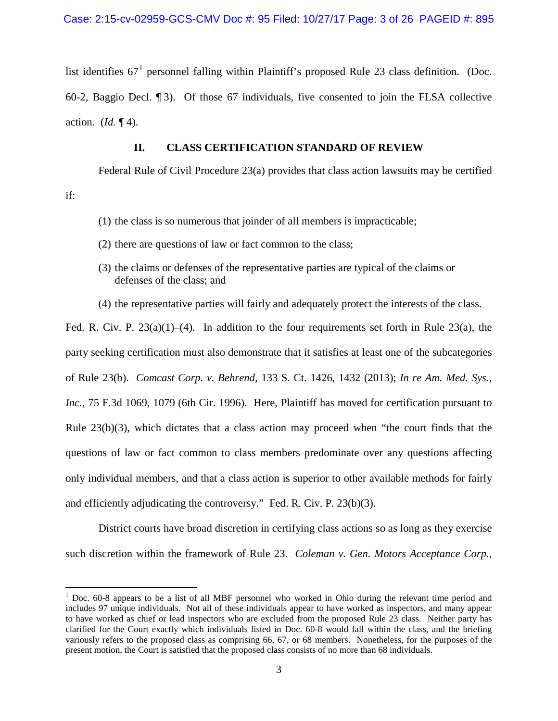list identifies  $67<sup>1</sup>$  $67<sup>1</sup>$  $67<sup>1</sup>$  personnel falling within Plaintiff's proposed Rule 23 class definition. (Doc. 60-2, Baggio Decl. ¶ 3). Of those 67 individuals, five consented to join the FLSA collective action. (*Id.* ¶ 4).

## **II. CLASS CERTIFICATION STANDARD OF REVIEW**

Federal Rule of Civil Procedure 23(a) provides that class action lawsuits may be certified

if:

- (1) the class is so numerous that joinder of all members is impracticable;
- (2) there are questions of law or fact common to the class;
- (3) the claims or defenses of the representative parties are typical of the claims or defenses of the class; and
- (4) the representative parties will fairly and adequately protect the interests of the class.

Fed. R. Civ. P.  $23(a)(1)$ –(4). In addition to the four requirements set forth in Rule 23(a), the party seeking certification must also demonstrate that it satisfies at least one of the subcategories of Rule 23(b). *Comcast Corp. v. Behrend*, 133 S. Ct. 1426, 1432 (2013); *In re Am. Med. Sys., Inc.*, 75 F.3d 1069, 1079 (6th Cir. 1996). Here, Plaintiff has moved for certification pursuant to Rule 23(b)(3), which dictates that a class action may proceed when "the court finds that the questions of law or fact common to class members predominate over any questions affecting only individual members, and that a class action is superior to other available methods for fairly and efficiently adjudicating the controversy." Fed. R. Civ. P. 23(b)(3).

District courts have broad discretion in certifying class actions so as long as they exercise such discretion within the framework of Rule 23. *Coleman v. Gen. Motors Acceptance Corp.*,

<span id="page-2-0"></span> $1$  Doc. 60-8 appears to be a list of all MBF personnel who worked in Ohio during the relevant time period and includes 97 unique individuals. Not all of these individuals appear to have worked as inspectors, and many appear to have worked as chief or lead inspectors who are excluded from the proposed Rule 23 class. Neither party has clarified for the Court exactly which individuals listed in Doc. 60-8 would fall within the class, and the briefing variously refers to the proposed class as comprising 66, 67, or 68 members. Nonetheless, for the purposes of the present motion, the Court is satisfied that the proposed class consists of no more than 68 individuals.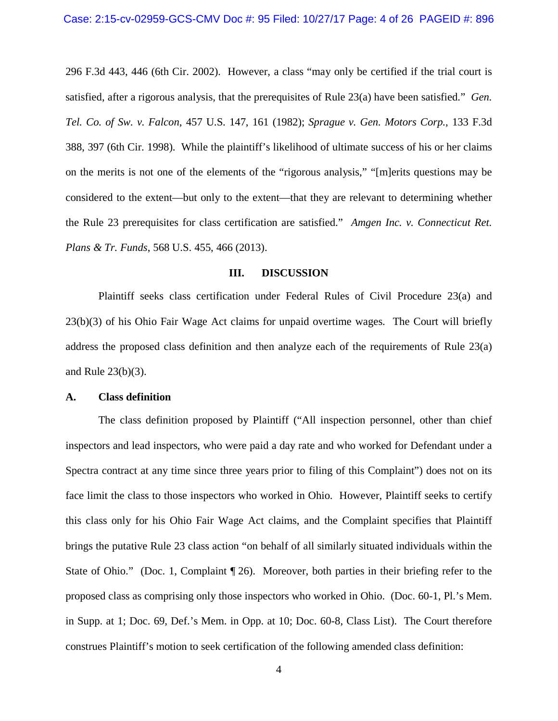296 F.3d 443, 446 (6th Cir. 2002). However, a class "may only be certified if the trial court is satisfied, after a rigorous analysis, that the prerequisites of Rule 23(a) have been satisfied." *Gen. Tel. Co. of Sw. v. Falcon*, 457 U.S. 147, 161 (1982); *Sprague v. Gen. Motors Corp.*, 133 F.3d 388, 397 (6th Cir. 1998). While the plaintiff's likelihood of ultimate success of his or her claims on the merits is not one of the elements of the "rigorous analysis," "[m]erits questions may be considered to the extent—but only to the extent—that they are relevant to determining whether the Rule 23 prerequisites for class certification are satisfied." *Amgen Inc. v. Connecticut Ret. Plans & Tr. Funds*, 568 U.S. 455, 466 (2013).

### **III. DISCUSSION**

Plaintiff seeks class certification under Federal Rules of Civil Procedure 23(a) and 23(b)(3) of his Ohio Fair Wage Act claims for unpaid overtime wages. The Court will briefly address the proposed class definition and then analyze each of the requirements of Rule 23(a) and Rule 23(b)(3).

### **A. Class definition**

The class definition proposed by Plaintiff ("All inspection personnel, other than chief inspectors and lead inspectors, who were paid a day rate and who worked for Defendant under a Spectra contract at any time since three years prior to filing of this Complaint") does not on its face limit the class to those inspectors who worked in Ohio. However, Plaintiff seeks to certify this class only for his Ohio Fair Wage Act claims, and the Complaint specifies that Plaintiff brings the putative Rule 23 class action "on behalf of all similarly situated individuals within the State of Ohio." (Doc. 1, Complaint  $\P$  26). Moreover, both parties in their briefing refer to the proposed class as comprising only those inspectors who worked in Ohio. (Doc. 60-1, Pl.'s Mem. in Supp. at 1; Doc. 69, Def.'s Mem. in Opp. at 10; Doc. 60-8, Class List). The Court therefore construes Plaintiff's motion to seek certification of the following amended class definition: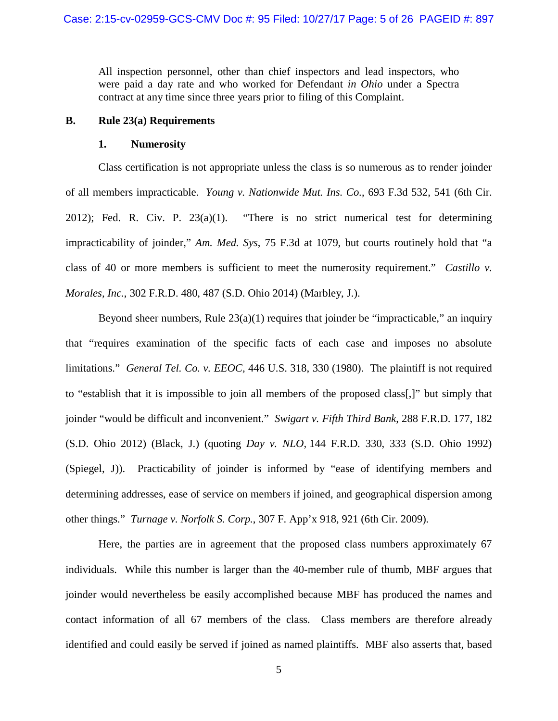All inspection personnel, other than chief inspectors and lead inspectors, who were paid a day rate and who worked for Defendant *in Ohio* under a Spectra contract at any time since three years prior to filing of this Complaint.

## **B. Rule 23(a) Requirements**

### **1. Numerosity**

Class certification is not appropriate unless the class is so numerous as to render joinder of all members impracticable. *Young v. Nationwide Mut. Ins. Co.*, 693 F.3d 532, 541 (6th Cir. 2012); Fed. R. Civ. P.  $23(a)(1)$ . "There is no strict numerical test for determining impracticability of joinder," *Am. Med. Sys*, 75 F.3d at 1079, but courts routinely hold that "a class of 40 or more members is sufficient to meet the numerosity requirement." *Castillo v. Morales, Inc.*, 302 F.R.D. 480, 487 (S.D. Ohio 2014) (Marbley, J.).

Beyond sheer numbers, Rule  $23(a)(1)$  requires that joinder be "impracticable," an inquiry that "requires examination of the specific facts of each case and imposes no absolute limitations." *General Tel. Co. v. EEOC,* 446 U.S. 318, 330 (1980). The plaintiff is not required to "establish that it is impossible to join all members of the proposed class[,]" but simply that joinder "would be difficult and inconvenient." *Swigart v. Fifth Third Bank*, 288 F.R.D. 177, 182 (S.D. Ohio 2012) (Black, J.) (quoting *Day v. NLO,* 144 F.R.D. 330, 333 (S.D. Ohio 1992) (Spiegel, J)). Practicability of joinder is informed by "ease of identifying members and determining addresses, ease of service on members if joined, and geographical dispersion among other things." *Turnage v. Norfolk S. Corp.*, 307 F. App'x 918, 921 (6th Cir. 2009).

Here, the parties are in agreement that the proposed class numbers approximately 67 individuals. While this number is larger than the 40-member rule of thumb, MBF argues that joinder would nevertheless be easily accomplished because MBF has produced the names and contact information of all 67 members of the class. Class members are therefore already identified and could easily be served if joined as named plaintiffs. MBF also asserts that, based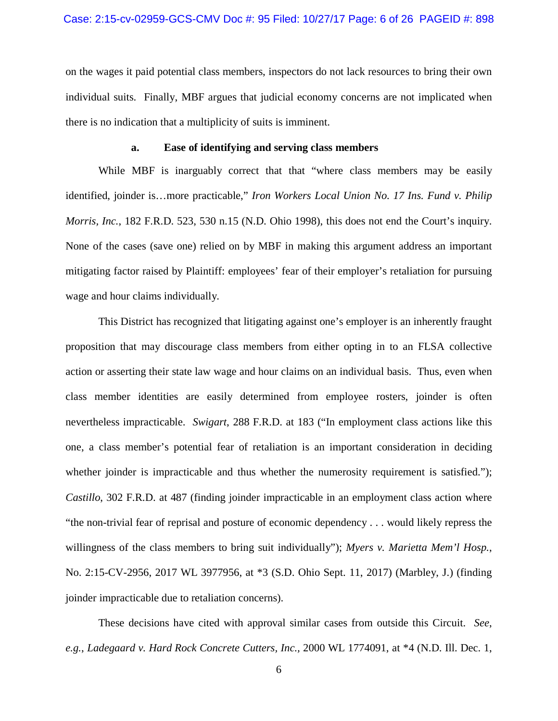on the wages it paid potential class members, inspectors do not lack resources to bring their own individual suits. Finally, MBF argues that judicial economy concerns are not implicated when there is no indication that a multiplicity of suits is imminent.

## **a. Ease of identifying and serving class members**

While MBF is inarguably correct that that "where class members may be easily identified, joinder is…more practicable," *Iron Workers Local Union No. 17 Ins. Fund v. Philip Morris, Inc.*, 182 F.R.D. 523, 530 n.15 (N.D. Ohio 1998), this does not end the Court's inquiry. None of the cases (save one) relied on by MBF in making this argument address an important mitigating factor raised by Plaintiff: employees' fear of their employer's retaliation for pursuing wage and hour claims individually.

This District has recognized that litigating against one's employer is an inherently fraught proposition that may discourage class members from either opting in to an FLSA collective action or asserting their state law wage and hour claims on an individual basis. Thus, even when class member identities are easily determined from employee rosters, joinder is often nevertheless impracticable. *Swigart*, 288 F.R.D. at 183 ("In employment class actions like this one, a class member's potential fear of retaliation is an important consideration in deciding whether joinder is impracticable and thus whether the numerosity requirement is satisfied."); *Castillo*, 302 F.R.D. at 487 (finding joinder impracticable in an employment class action where "the non-trivial fear of reprisal and posture of economic dependency . . . would likely repress the willingness of the class members to bring suit individually"); *Myers v. Marietta Mem'l Hosp.*, No. 2:15-CV-2956, 2017 WL 3977956, at \*3 (S.D. Ohio Sept. 11, 2017) (Marbley, J.) (finding joinder impracticable due to retaliation concerns).

These decisions have cited with approval similar cases from outside this Circuit. *See*, *e.g.*, *Ladegaard v. Hard Rock Concrete Cutters, Inc.,* 2000 WL 1774091, at \*4 (N.D. Ill. Dec. 1,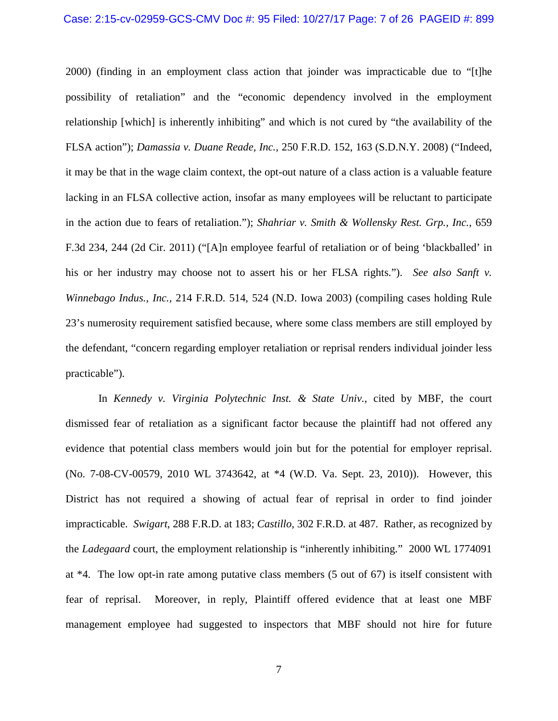#### Case: 2:15-cv-02959-GCS-CMV Doc #: 95 Filed: 10/27/17 Page: 7 of 26 PAGEID #: 899

2000) (finding in an employment class action that joinder was impracticable due to "[t]he possibility of retaliation" and the "economic dependency involved in the employment relationship [which] is inherently inhibiting" and which is not cured by "the availability of the FLSA action"); *Damassia v. Duane Reade, Inc.,* 250 F.R.D. 152, 163 (S.D.N.Y. 2008) ("Indeed, it may be that in the wage claim context, the opt-out nature of a class action is a valuable feature lacking in an FLSA collective action, insofar as many employees will be reluctant to participate in the action due to fears of retaliation."); *Shahriar v. Smith & Wollensky Rest. Grp., Inc.*, 659 F.3d 234, 244 (2d Cir. 2011) ("[A]n employee fearful of retaliation or of being 'blackballed' in his or her industry may choose not to assert his or her FLSA rights."). *See also Sanft v. Winnebago Indus., Inc.,* 214 F.R.D. 514, 524 (N.D. Iowa 2003) (compiling cases holding Rule 23's numerosity requirement satisfied because, where some class members are still employed by the defendant, "concern regarding employer retaliation or reprisal renders individual joinder less practicable").

In *Kennedy v. Virginia Polytechnic Inst. & State Univ.*, cited by MBF, the court dismissed fear of retaliation as a significant factor because the plaintiff had not offered any evidence that potential class members would join but for the potential for employer reprisal. (No. 7-08-CV-00579, 2010 WL 3743642, at \*4 (W.D. Va. Sept. 23, 2010)). However, this District has not required a showing of actual fear of reprisal in order to find joinder impracticable. *Swigart*, 288 F.R.D. at 183; *Castillo*, 302 F.R.D. at 487. Rather, as recognized by the *Ladegaard* court, the employment relationship is "inherently inhibiting." 2000 WL 1774091 at \*4. The low opt-in rate among putative class members (5 out of 67) is itself consistent with fear of reprisal. Moreover, in reply, Plaintiff offered evidence that at least one MBF management employee had suggested to inspectors that MBF should not hire for future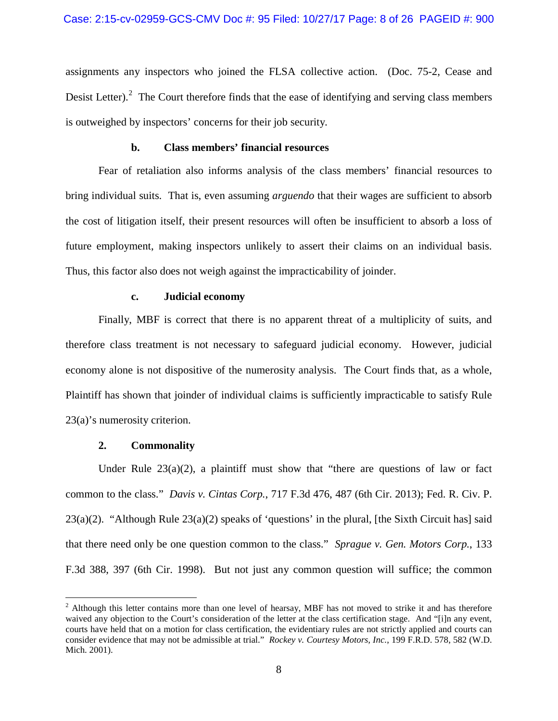assignments any inspectors who joined the FLSA collective action. (Doc. 75-2, Cease and Desist Letter).<sup>[2](#page-7-0)</sup> The Court therefore finds that the ease of identifying and serving class members is outweighed by inspectors' concerns for their job security.

## **b. Class members' financial resources**

Fear of retaliation also informs analysis of the class members' financial resources to bring individual suits. That is, even assuming *arguendo* that their wages are sufficient to absorb the cost of litigation itself, their present resources will often be insufficient to absorb a loss of future employment, making inspectors unlikely to assert their claims on an individual basis. Thus, this factor also does not weigh against the impracticability of joinder.

### **c. Judicial economy**

Finally, MBF is correct that there is no apparent threat of a multiplicity of suits, and therefore class treatment is not necessary to safeguard judicial economy. However, judicial economy alone is not dispositive of the numerosity analysis. The Court finds that, as a whole, Plaintiff has shown that joinder of individual claims is sufficiently impracticable to satisfy Rule 23(a)'s numerosity criterion.

## **2. Commonality**

Under Rule  $23(a)(2)$ , a plaintiff must show that "there are questions of law or fact common to the class." *Davis v. Cintas Corp.*, 717 F.3d 476, 487 (6th Cir. 2013); Fed. R. Civ. P. 23(a)(2). "Although Rule 23(a)(2) speaks of 'questions' in the plural, [the Sixth Circuit has] said that there need only be one question common to the class." *Sprague v. Gen. Motors Corp.*, 133 F.3d 388, 397 (6th Cir. 1998). But not just any common question will suffice; the common

<span id="page-7-0"></span> $2$  Although this letter contains more than one level of hearsay, MBF has not moved to strike it and has therefore waived any objection to the Court's consideration of the letter at the class certification stage. And "[i]n any event, courts have held that on a motion for class certification, the evidentiary rules are not strictly applied and courts can consider evidence that may not be admissible at trial." *Rockey v. Courtesy Motors, Inc.*, 199 F.R.D. 578, 582 (W.D. Mich. 2001).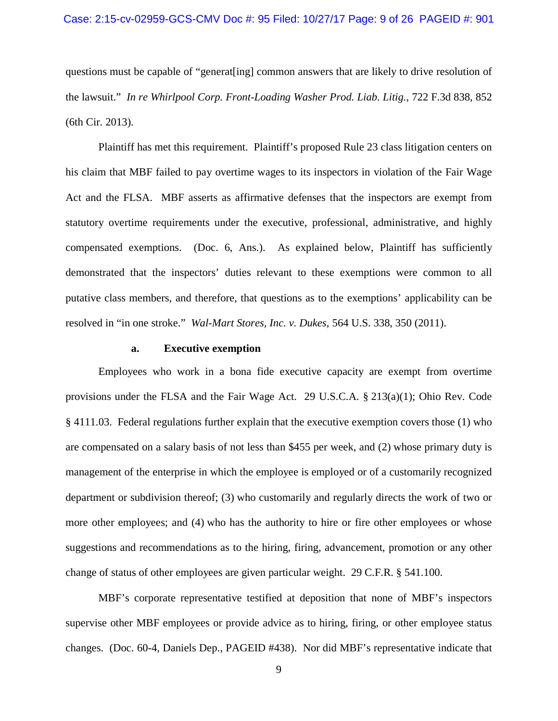questions must be capable of "generat[ing] common answers that are likely to drive resolution of the lawsuit." *In re Whirlpool Corp. Front-Loading Washer Prod. Liab. Litig.*, 722 F.3d 838, 852 (6th Cir. 2013).

Plaintiff has met this requirement. Plaintiff's proposed Rule 23 class litigation centers on his claim that MBF failed to pay overtime wages to its inspectors in violation of the Fair Wage Act and the FLSA. MBF asserts as affirmative defenses that the inspectors are exempt from statutory overtime requirements under the executive, professional, administrative, and highly compensated exemptions. (Doc. 6, Ans.). As explained below, Plaintiff has sufficiently demonstrated that the inspectors' duties relevant to these exemptions were common to all putative class members, and therefore, that questions as to the exemptions' applicability can be resolved in "in one stroke." *Wal-Mart Stores, Inc. v. Dukes*, 564 U.S. 338, 350 (2011).

### **a. Executive exemption**

Employees who work in a bona fide executive capacity are exempt from overtime provisions under the FLSA and the Fair Wage Act. 29 U.S.C.A. § 213(a)(1); Ohio Rev. Code § 4111.03. Federal regulations further explain that the executive exemption covers those (1) who are compensated on a salary basis of not less than \$455 per week, and (2) whose primary duty is management of the enterprise in which the employee is employed or of a customarily recognized department or subdivision thereof; (3) who customarily and regularly directs the work of two or more other employees; and (4) who has the authority to hire or fire other employees or whose suggestions and recommendations as to the hiring, firing, advancement, promotion or any other change of status of other employees are given particular weight. 29 C.F.R. § 541.100.

MBF's corporate representative testified at deposition that none of MBF's inspectors supervise other MBF employees or provide advice as to hiring, firing, or other employee status changes. (Doc. 60-4, Daniels Dep., PAGEID #438). Nor did MBF's representative indicate that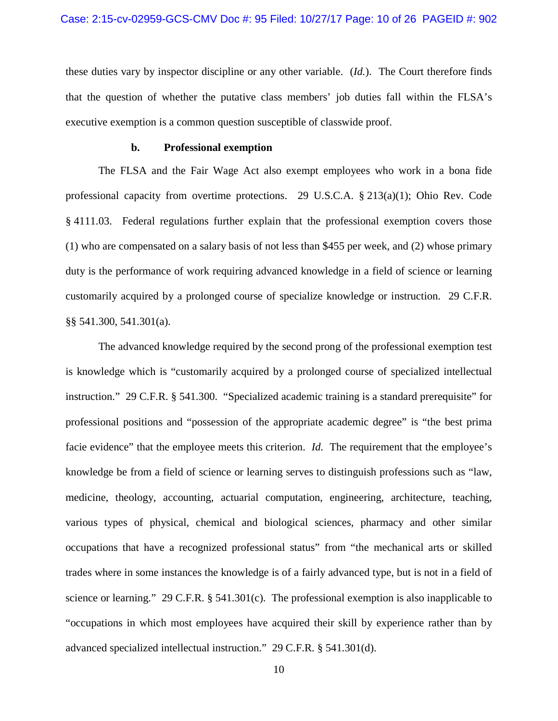these duties vary by inspector discipline or any other variable. (*Id.*). The Court therefore finds that the question of whether the putative class members' job duties fall within the FLSA's executive exemption is a common question susceptible of classwide proof.

#### **b. Professional exemption**

The FLSA and the Fair Wage Act also exempt employees who work in a bona fide professional capacity from overtime protections. 29 U.S.C.A. § 213(a)(1); Ohio Rev. Code § 4111.03. Federal regulations further explain that the professional exemption covers those (1) who are compensated on a salary basis of not less than \$455 per week, and (2) whose primary duty is the performance of work requiring advanced knowledge in a field of science or learning customarily acquired by a prolonged course of specialize knowledge or instruction. 29 C.F.R. §§ 541.300, 541.301(a).

The advanced knowledge required by the second prong of the professional exemption test is knowledge which is "customarily acquired by a prolonged course of specialized intellectual instruction." 29 C.F.R. § 541.300. "Specialized academic training is a standard prerequisite" for professional positions and "possession of the appropriate academic degree" is "the best prima facie evidence" that the employee meets this criterion. *Id.* The requirement that the employee's knowledge be from a field of science or learning serves to distinguish professions such as "law, medicine, theology, accounting, actuarial computation, engineering, architecture, teaching, various types of physical, chemical and biological sciences, pharmacy and other similar occupations that have a recognized professional status" from "the mechanical arts or skilled trades where in some instances the knowledge is of a fairly advanced type, but is not in a field of science or learning." 29 C.F.R. § 541.301(c). The professional exemption is also inapplicable to "occupations in which most employees have acquired their skill by experience rather than by advanced specialized intellectual instruction." 29 C.F.R. § 541.301(d).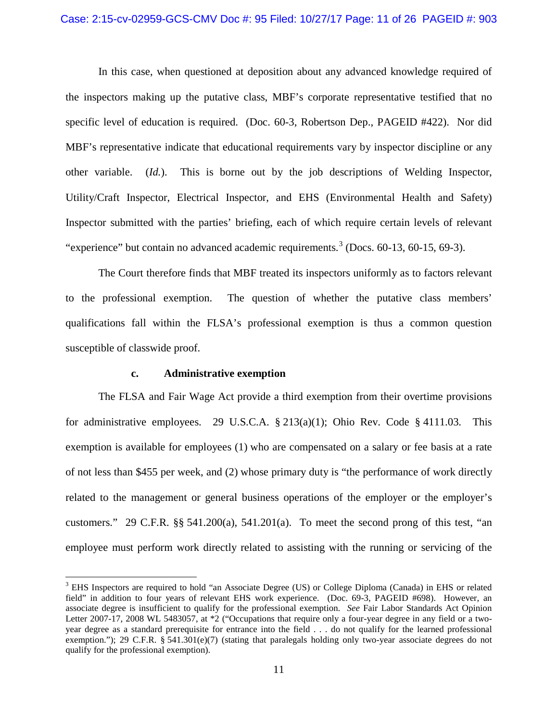#### Case: 2:15-cv-02959-GCS-CMV Doc #: 95 Filed: 10/27/17 Page: 11 of 26 PAGEID #: 903

In this case, when questioned at deposition about any advanced knowledge required of the inspectors making up the putative class, MBF's corporate representative testified that no specific level of education is required. (Doc. 60-3, Robertson Dep., PAGEID #422). Nor did MBF's representative indicate that educational requirements vary by inspector discipline or any other variable. (*Id.*). This is borne out by the job descriptions of Welding Inspector, Utility/Craft Inspector, Electrical Inspector, and EHS (Environmental Health and Safety) Inspector submitted with the parties' briefing, each of which require certain levels of relevant "experience" but contain no advanced academic requirements.<sup>[3](#page-10-0)</sup> (Docs.  $60-13$ ,  $60-15$ ,  $69-3$ ).

The Court therefore finds that MBF treated its inspectors uniformly as to factors relevant to the professional exemption. The question of whether the putative class members' qualifications fall within the FLSA's professional exemption is thus a common question susceptible of classwide proof.

## **c. Administrative exemption**

The FLSA and Fair Wage Act provide a third exemption from their overtime provisions for administrative employees. 29 U.S.C.A. § 213(a)(1); Ohio Rev. Code § 4111.03. This exemption is available for employees (1) who are compensated on a salary or fee basis at a rate of not less than \$455 per week, and (2) whose primary duty is "the performance of work directly related to the management or general business operations of the employer or the employer's customers." 29 C.F.R. §§ 541.200(a), 541.201(a). To meet the second prong of this test, "an employee must perform work directly related to assisting with the running or servicing of the

<span id="page-10-0"></span><sup>&</sup>lt;sup>3</sup> EHS Inspectors are required to hold "an Associate Degree (US) or College Diploma (Canada) in EHS or related field" in addition to four years of relevant EHS work experience. (Doc. 69-3, PAGEID #698). However, an associate degree is insufficient to qualify for the professional exemption. *See* Fair Labor Standards Act Opinion Letter 2007-17, 2008 WL 5483057, at \*2 ("Occupations that require only a four-year degree in any field or a twoyear degree as a standard prerequisite for entrance into the field . . . do not qualify for the learned professional exemption."); 29 C.F.R. § 541.301(e)(7) (stating that paralegals holding only two-year associate degrees do not qualify for the professional exemption).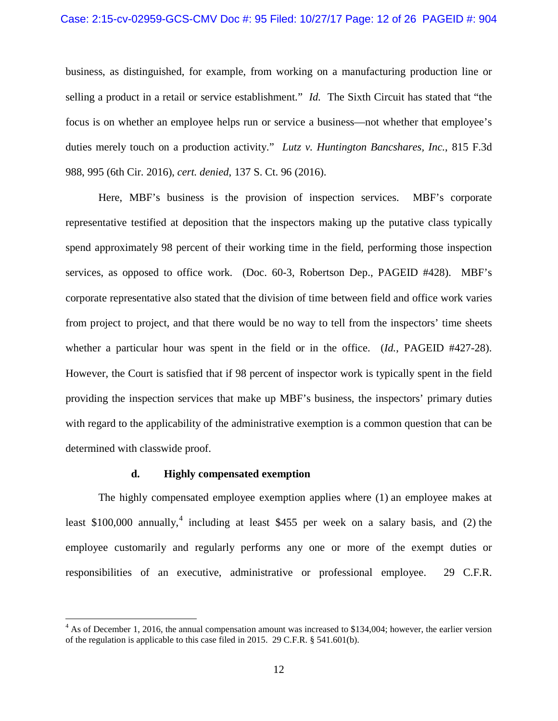#### Case: 2:15-cv-02959-GCS-CMV Doc #: 95 Filed: 10/27/17 Page: 12 of 26 PAGEID #: 904

business, as distinguished, for example, from working on a manufacturing production line or selling a product in a retail or service establishment." *Id.* The Sixth Circuit has stated that "the focus is on whether an employee helps run or service a business—not whether that employee's duties merely touch on a production activity." *Lutz v. Huntington Bancshares, Inc.*, 815 F.3d 988, 995 (6th Cir. 2016), *cert. denied*, 137 S. Ct. 96 (2016).

Here, MBF's business is the provision of inspection services. MBF's corporate representative testified at deposition that the inspectors making up the putative class typically spend approximately 98 percent of their working time in the field, performing those inspection services, as opposed to office work. (Doc. 60-3, Robertson Dep., PAGEID #428). MBF's corporate representative also stated that the division of time between field and office work varies from project to project, and that there would be no way to tell from the inspectors' time sheets whether a particular hour was spent in the field or in the office. (*Id.*, PAGEID #427-28). However, the Court is satisfied that if 98 percent of inspector work is typically spent in the field providing the inspection services that make up MBF's business, the inspectors' primary duties with regard to the applicability of the administrative exemption is a common question that can be determined with classwide proof.

## **d. Highly compensated exemption**

The highly compensated employee exemption applies where (1) an employee makes at least \$100,000 annually,<sup>[4](#page-11-0)</sup> including at least \$455 per week on a salary basis, and (2) the employee customarily and regularly performs any one or more of the exempt duties or responsibilities of an executive, administrative or professional employee. 29 C.F.R.

<span id="page-11-0"></span><sup>&</sup>lt;sup>4</sup> As of December 1, 2016, the annual compensation amount was increased to \$134,004; however, the earlier version of the regulation is applicable to this case filed in 2015. 29 C.F.R. § 541.601(b).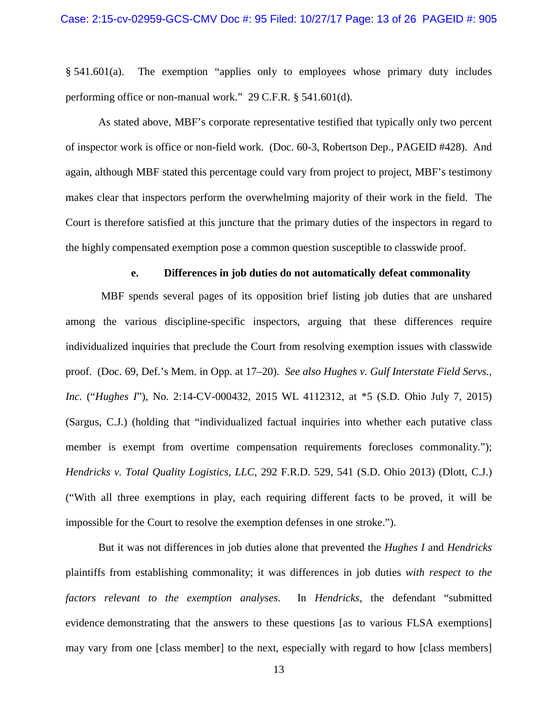§ 541.601(a). The exemption "applies only to employees whose primary duty includes performing office or non-manual work." 29 C.F.R. § 541.601(d).

As stated above, MBF's corporate representative testified that typically only two percent of inspector work is office or non-field work. (Doc. 60-3, Robertson Dep., PAGEID #428). And again, although MBF stated this percentage could vary from project to project, MBF's testimony makes clear that inspectors perform the overwhelming majority of their work in the field. The Court is therefore satisfied at this juncture that the primary duties of the inspectors in regard to the highly compensated exemption pose a common question susceptible to classwide proof.

#### **e. Differences in job duties do not automatically defeat commonality**

MBF spends several pages of its opposition brief listing job duties that are unshared among the various discipline-specific inspectors, arguing that these differences require individualized inquiries that preclude the Court from resolving exemption issues with classwide proof. (Doc. 69, Def.'s Mem. in Opp. at 17–20). *See also Hughes v. Gulf Interstate Field Servs., Inc.* ("*Hughes I*"), No. 2:14-CV-000432, 2015 WL 4112312, at \*5 (S.D. Ohio July 7, 2015) (Sargus, C.J.) (holding that "individualized factual inquiries into whether each putative class member is exempt from overtime compensation requirements forecloses commonality."); *Hendricks v. Total Quality Logistics, LLC*, 292 F.R.D. 529, 541 (S.D. Ohio 2013) (Dlott, C.J.) ("With all three exemptions in play, each requiring different facts to be proved, it will be impossible for the Court to resolve the exemption defenses in one stroke.").

But it was not differences in job duties alone that prevented the *Hughes I* and *Hendricks* plaintiffs from establishing commonality; it was differences in job duties *with respect to the factors relevant to the exemption analyses*. In *Hendricks*, the defendant "submitted evidence demonstrating that the answers to these questions [as to various FLSA exemptions] may vary from one [class member] to the next, especially with regard to how [class members]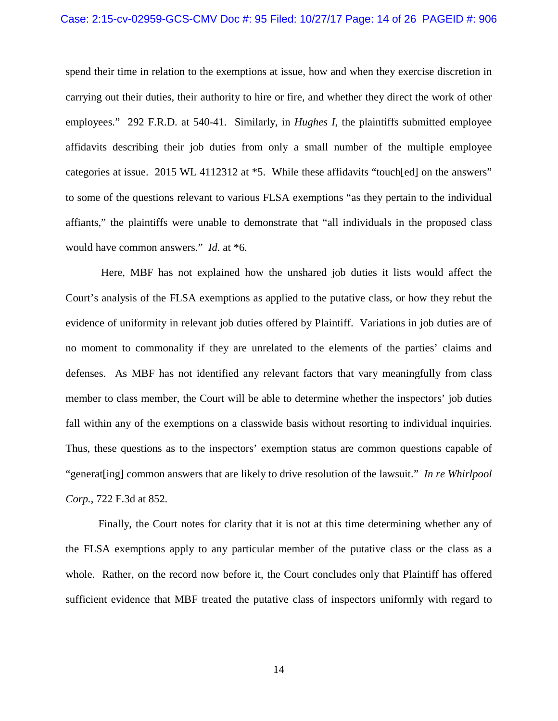#### Case: 2:15-cv-02959-GCS-CMV Doc #: 95 Filed: 10/27/17 Page: 14 of 26 PAGEID #: 906

spend their time in relation to the exemptions at issue, how and when they exercise discretion in carrying out their duties, their authority to hire or fire, and whether they direct the work of other employees." 292 F.R.D. at 540-41. Similarly, in *Hughes I*, the plaintiffs submitted employee affidavits describing their job duties from only a small number of the multiple employee categories at issue. 2015 WL 4112312 at \*5. While these affidavits "touch[ed] on the answers" to some of the questions relevant to various FLSA exemptions "as they pertain to the individual affiants," the plaintiffs were unable to demonstrate that "all individuals in the proposed class would have common answers." *Id.* at \*6.

Here, MBF has not explained how the unshared job duties it lists would affect the Court's analysis of the FLSA exemptions as applied to the putative class, or how they rebut the evidence of uniformity in relevant job duties offered by Plaintiff. Variations in job duties are of no moment to commonality if they are unrelated to the elements of the parties' claims and defenses. As MBF has not identified any relevant factors that vary meaningfully from class member to class member, the Court will be able to determine whether the inspectors' job duties fall within any of the exemptions on a classwide basis without resorting to individual inquiries. Thus, these questions as to the inspectors' exemption status are common questions capable of "generat[ing] common answers that are likely to drive resolution of the lawsuit." *In re Whirlpool Corp.*, 722 F.3d at 852.

Finally, the Court notes for clarity that it is not at this time determining whether any of the FLSA exemptions apply to any particular member of the putative class or the class as a whole. Rather, on the record now before it, the Court concludes only that Plaintiff has offered sufficient evidence that MBF treated the putative class of inspectors uniformly with regard to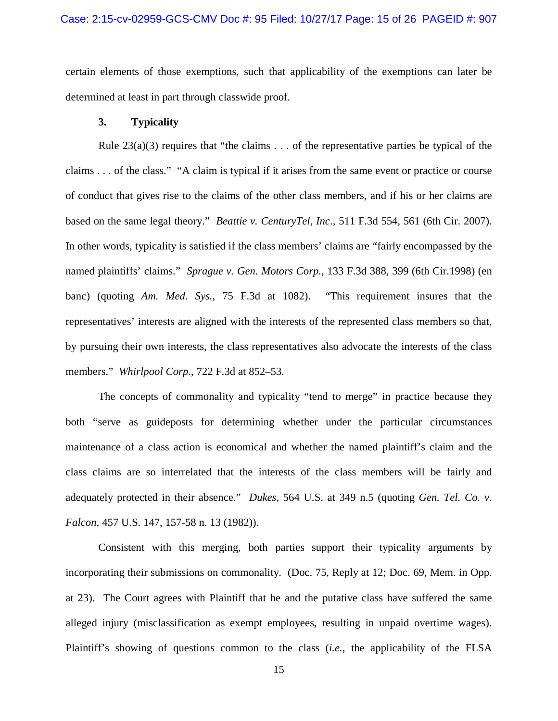### Case: 2:15-cv-02959-GCS-CMV Doc #: 95 Filed: 10/27/17 Page: 15 of 26 PAGEID #: 907

certain elements of those exemptions, such that applicability of the exemptions can later be determined at least in part through classwide proof.

## **3. Typicality**

Rule  $23(a)(3)$  requires that "the claims . . . of the representative parties be typical of the claims . . . of the class." "A claim is typical if it arises from the same event or practice or course of conduct that gives rise to the claims of the other class members, and if his or her claims are based on the same legal theory." *Beattie v. CenturyTel, Inc*., 511 F.3d 554, 561 (6th Cir. 2007). In other words, typicality is satisfied if the class members' claims are "fairly encompassed by the named plaintiffs' claims." *Sprague v. Gen. Motors Corp.,* 133 F.3d 388, 399 (6th Cir.1998) (en banc) (quoting *Am. Med. Sys.,* 75 F.3d at 1082). "This requirement insures that the representatives' interests are aligned with the interests of the represented class members so that, by pursuing their own interests, the class representatives also advocate the interests of the class members." *Whirlpool Corp.*, 722 F.3d at 852–53.

The concepts of commonality and typicality "tend to merge" in practice because they both "serve as guideposts for determining whether under the particular circumstances maintenance of a class action is economical and whether the named plaintiff's claim and the class claims are so interrelated that the interests of the class members will be fairly and adequately protected in their absence." *Dukes,* 564 U.S. at 349 n.5 (quoting *Gen. Tel. Co. v. Falcon*, 457 U.S. 147, 157-58 n. 13 (1982)).

Consistent with this merging, both parties support their typicality arguments by incorporating their submissions on commonality. (Doc. 75, Reply at 12; Doc. 69, Mem. in Opp. at 23). The Court agrees with Plaintiff that he and the putative class have suffered the same alleged injury (misclassification as exempt employees, resulting in unpaid overtime wages). Plaintiff's showing of questions common to the class (*i.e.*, the applicability of the FLSA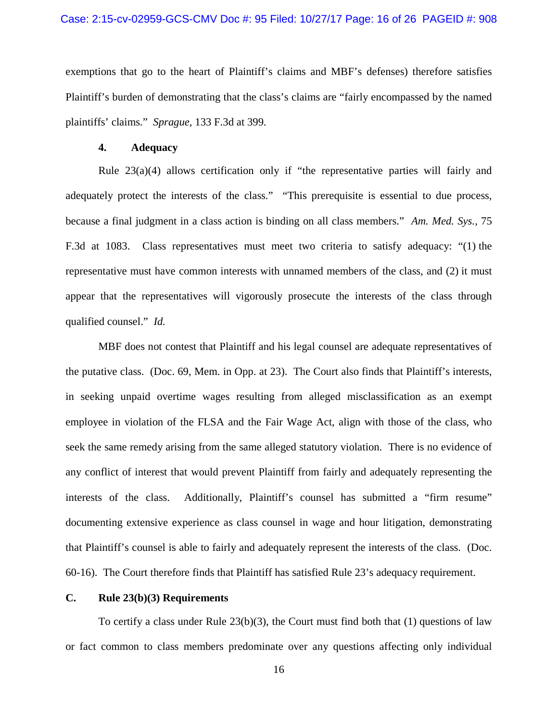### Case: 2:15-cv-02959-GCS-CMV Doc #: 95 Filed: 10/27/17 Page: 16 of 26 PAGEID #: 908

exemptions that go to the heart of Plaintiff's claims and MBF's defenses) therefore satisfies Plaintiff's burden of demonstrating that the class's claims are "fairly encompassed by the named plaintiffs' claims." *Sprague,* 133 F.3d at 399.

## **4. Adequacy**

Rule 23(a)(4) allows certification only if "the representative parties will fairly and adequately protect the interests of the class." "This prerequisite is essential to due process, because a final judgment in a class action is binding on all class members." *Am. Med. Sys.,* 75 F.3d at 1083. Class representatives must meet two criteria to satisfy adequacy: "(1) the representative must have common interests with unnamed members of the class, and (2) it must appear that the representatives will vigorously prosecute the interests of the class through qualified counsel." *Id.*

MBF does not contest that Plaintiff and his legal counsel are adequate representatives of the putative class. (Doc. 69, Mem. in Opp. at 23). The Court also finds that Plaintiff's interests, in seeking unpaid overtime wages resulting from alleged misclassification as an exempt employee in violation of the FLSA and the Fair Wage Act, align with those of the class, who seek the same remedy arising from the same alleged statutory violation. There is no evidence of any conflict of interest that would prevent Plaintiff from fairly and adequately representing the interests of the class. Additionally, Plaintiff's counsel has submitted a "firm resume" documenting extensive experience as class counsel in wage and hour litigation, demonstrating that Plaintiff's counsel is able to fairly and adequately represent the interests of the class. (Doc. 60-16). The Court therefore finds that Plaintiff has satisfied Rule 23's adequacy requirement.

## **C. Rule 23(b)(3) Requirements**

To certify a class under Rule 23(b)(3), the Court must find both that (1) questions of law or fact common to class members predominate over any questions affecting only individual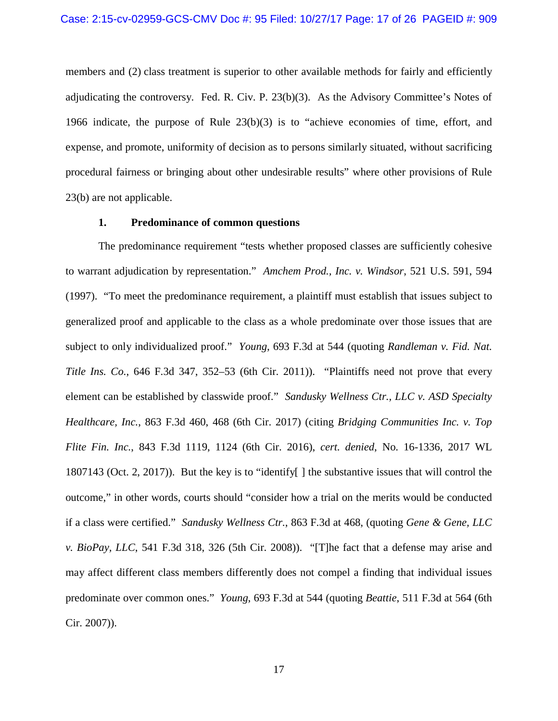members and (2) class treatment is superior to other available methods for fairly and efficiently adjudicating the controversy. Fed. R. Civ. P.  $23(b)(3)$ . As the Advisory Committee's Notes of 1966 indicate, the purpose of Rule 23(b)(3) is to "achieve economies of time, effort, and expense, and promote, uniformity of decision as to persons similarly situated, without sacrificing procedural fairness or bringing about other undesirable results" where other provisions of Rule 23(b) are not applicable.

### **1. Predominance of common questions**

The predominance requirement "tests whether proposed classes are sufficiently cohesive to warrant adjudication by representation." *Amchem Prod., Inc. v. Windsor*, 521 U.S. 591, 594 (1997). "To meet the predominance requirement, a plaintiff must establish that issues subject to generalized proof and applicable to the class as a whole predominate over those issues that are subject to only individualized proof." *Young*, 693 F.3d at 544 (quoting *Randleman v. Fid. Nat. Title Ins. Co.*, 646 F.3d 347, 352–53 (6th Cir. 2011)). "Plaintiffs need not prove that every element can be established by classwide proof." *Sandusky Wellness Ctr., LLC v. ASD Specialty Healthcare, Inc.*, 863 F.3d 460, 468 (6th Cir. 2017) (citing *Bridging Communities Inc. v. Top Flite Fin. Inc.*, 843 F.3d 1119, 1124 (6th Cir. 2016), *cert. denied*, No. 16-1336, 2017 WL 1807143 (Oct. 2, 2017)). But the key is to "identify[ ] the substantive issues that will control the outcome," in other words, courts should "consider how a trial on the merits would be conducted if a class were certified." *Sandusky Wellness Ctr.*, 863 F.3d at 468, (quoting *Gene & Gene, LLC v. BioPay, LLC*, 541 F.3d 318, 326 (5th Cir. 2008)). "[T]he fact that a defense may arise and may affect different class members differently does not compel a finding that individual issues predominate over common ones." *Young*, 693 F.3d at 544 (quoting *Beattie*, 511 F.3d at 564 (6th Cir. 2007)).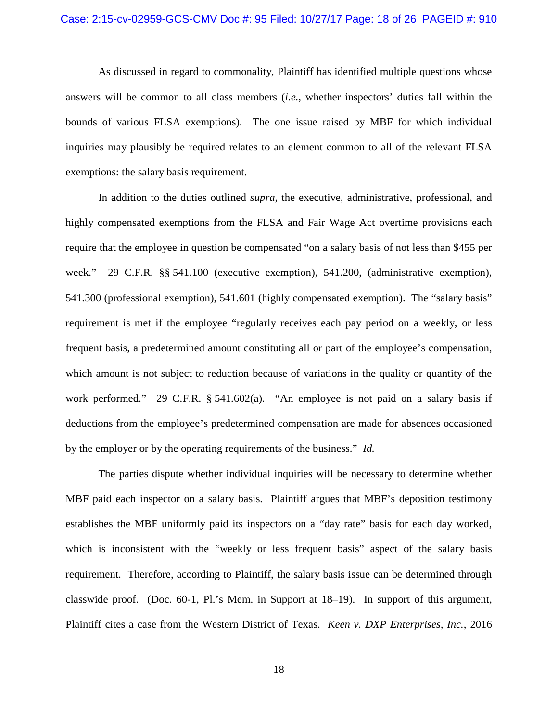As discussed in regard to commonality, Plaintiff has identified multiple questions whose answers will be common to all class members (*i.e.*, whether inspectors' duties fall within the bounds of various FLSA exemptions). The one issue raised by MBF for which individual inquiries may plausibly be required relates to an element common to all of the relevant FLSA exemptions: the salary basis requirement.

In addition to the duties outlined *supra*, the executive, administrative, professional, and highly compensated exemptions from the FLSA and Fair Wage Act overtime provisions each require that the employee in question be compensated "on a salary basis of not less than \$455 per week." 29 C.F.R. §§ 541.100 (executive exemption), 541.200, (administrative exemption), 541.300 (professional exemption), 541.601 (highly compensated exemption). The "salary basis" requirement is met if the employee "regularly receives each pay period on a weekly, or less frequent basis, a predetermined amount constituting all or part of the employee's compensation, which amount is not subject to reduction because of variations in the quality or quantity of the work performed." 29 C.F.R. § 541.602(a). "An employee is not paid on a salary basis if deductions from the employee's predetermined compensation are made for absences occasioned by the employer or by the operating requirements of the business." *Id.*

The parties dispute whether individual inquiries will be necessary to determine whether MBF paid each inspector on a salary basis. Plaintiff argues that MBF's deposition testimony establishes the MBF uniformly paid its inspectors on a "day rate" basis for each day worked, which is inconsistent with the "weekly or less frequent basis" aspect of the salary basis requirement. Therefore, according to Plaintiff, the salary basis issue can be determined through classwide proof. (Doc. 60-1, Pl.'s Mem. in Support at 18–19). In support of this argument, Plaintiff cites a case from the Western District of Texas. *Keen v. DXP Enterprises, Inc.*, 2016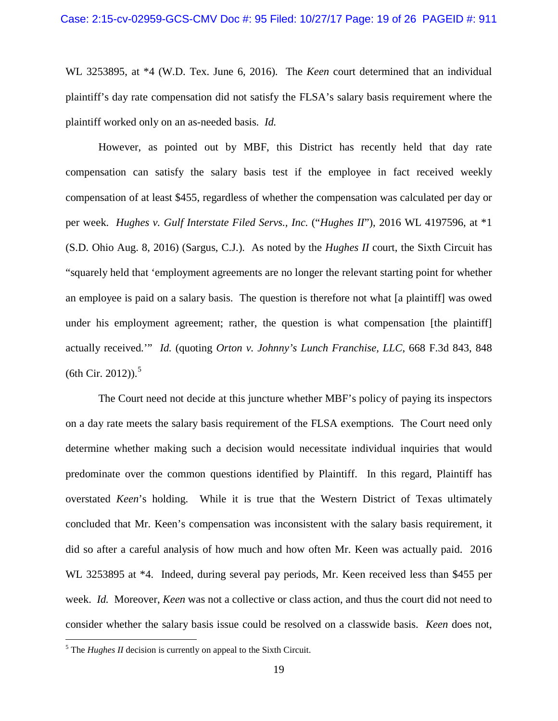WL 3253895, at \*4 (W.D. Tex. June 6, 2016). The *Keen* court determined that an individual plaintiff's day rate compensation did not satisfy the FLSA's salary basis requirement where the plaintiff worked only on an as-needed basis. *Id.*

However, as pointed out by MBF, this District has recently held that day rate compensation can satisfy the salary basis test if the employee in fact received weekly compensation of at least \$455, regardless of whether the compensation was calculated per day or per week. *Hughes v. Gulf Interstate Filed Servs., Inc.* ("*Hughes II*"), 2016 WL 4197596, at \*1 (S.D. Ohio Aug. 8, 2016) (Sargus, C.J.). As noted by the *Hughes II* court, the Sixth Circuit has "squarely held that 'employment agreements are no longer the relevant starting point for whether an employee is paid on a salary basis. The question is therefore not what [a plaintiff] was owed under his employment agreement; rather, the question is what compensation [the plaintiff] actually received.'" *Id.* (quoting *Orton v. Johnny's Lunch Franchise, LLC*, 668 F.3d 843, 848 (6th Cir. 2012)). $5$ 

The Court need not decide at this juncture whether MBF's policy of paying its inspectors on a day rate meets the salary basis requirement of the FLSA exemptions. The Court need only determine whether making such a decision would necessitate individual inquiries that would predominate over the common questions identified by Plaintiff. In this regard, Plaintiff has overstated *Keen*'s holding. While it is true that the Western District of Texas ultimately concluded that Mr. Keen's compensation was inconsistent with the salary basis requirement, it did so after a careful analysis of how much and how often Mr. Keen was actually paid. 2016 WL 3253895 at \*4. Indeed, during several pay periods, Mr. Keen received less than \$455 per week. *Id.* Moreover, *Keen* was not a collective or class action, and thus the court did not need to consider whether the salary basis issue could be resolved on a classwide basis. *Keen* does not,

<span id="page-18-0"></span><sup>&</sup>lt;sup>5</sup> The *Hughes II* decision is currently on appeal to the Sixth Circuit.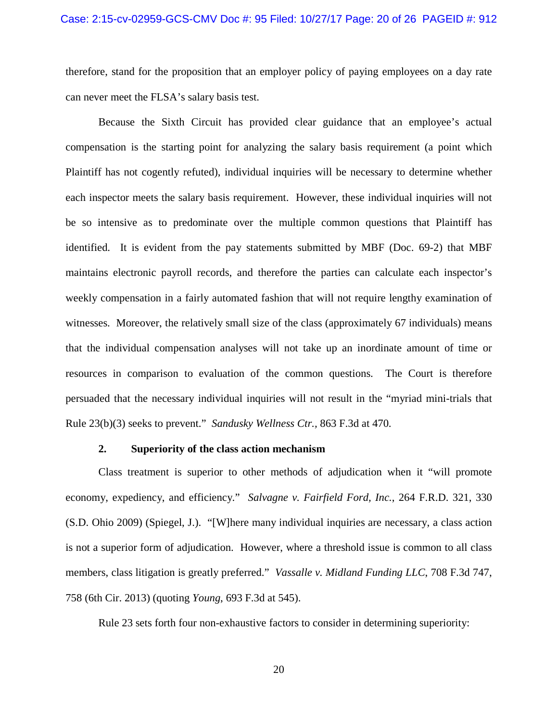therefore, stand for the proposition that an employer policy of paying employees on a day rate can never meet the FLSA's salary basis test.

Because the Sixth Circuit has provided clear guidance that an employee's actual compensation is the starting point for analyzing the salary basis requirement (a point which Plaintiff has not cogently refuted), individual inquiries will be necessary to determine whether each inspector meets the salary basis requirement. However, these individual inquiries will not be so intensive as to predominate over the multiple common questions that Plaintiff has identified. It is evident from the pay statements submitted by MBF (Doc. 69-2) that MBF maintains electronic payroll records, and therefore the parties can calculate each inspector's weekly compensation in a fairly automated fashion that will not require lengthy examination of witnesses. Moreover, the relatively small size of the class (approximately 67 individuals) means that the individual compensation analyses will not take up an inordinate amount of time or resources in comparison to evaluation of the common questions. The Court is therefore persuaded that the necessary individual inquiries will not result in the "myriad mini-trials that Rule 23(b)(3) seeks to prevent." *Sandusky Wellness Ctr.,* 863 F.3d at 470.

### **2. Superiority of the class action mechanism**

Class treatment is superior to other methods of adjudication when it "will promote economy, expediency, and efficiency." *Salvagne v. Fairfield Ford, Inc.*, 264 F.R.D. 321, 330 (S.D. Ohio 2009) (Spiegel, J.). "[W]here many individual inquiries are necessary, a class action is not a superior form of adjudication. However, where a threshold issue is common to all class members, class litigation is greatly preferred." *Vassalle v. Midland Funding LLC*, 708 F.3d 747, 758 (6th Cir. 2013) (quoting *Young*, 693 F.3d at 545).

Rule 23 sets forth four non-exhaustive factors to consider in determining superiority:

20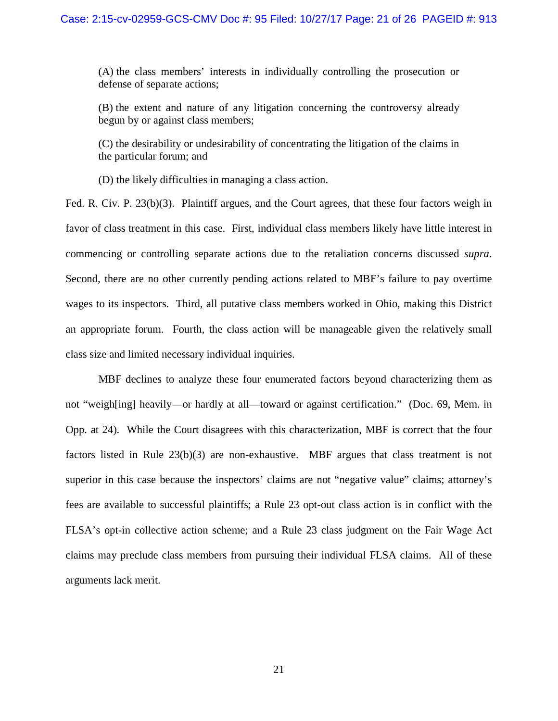(A) the class members' interests in individually controlling the prosecution or defense of separate actions;

(B) the extent and nature of any litigation concerning the controversy already begun by or against class members;

(C) the desirability or undesirability of concentrating the litigation of the claims in the particular forum; and

(D) the likely difficulties in managing a class action.

Fed. R. Civ. P. 23(b)(3). Plaintiff argues, and the Court agrees, that these four factors weigh in favor of class treatment in this case. First, individual class members likely have little interest in commencing or controlling separate actions due to the retaliation concerns discussed *supra*. Second, there are no other currently pending actions related to MBF's failure to pay overtime wages to its inspectors. Third, all putative class members worked in Ohio, making this District an appropriate forum. Fourth, the class action will be manageable given the relatively small class size and limited necessary individual inquiries.

MBF declines to analyze these four enumerated factors beyond characterizing them as not "weigh[ing] heavily—or hardly at all—toward or against certification." (Doc. 69, Mem. in Opp. at 24). While the Court disagrees with this characterization, MBF is correct that the four factors listed in Rule 23(b)(3) are non-exhaustive. MBF argues that class treatment is not superior in this case because the inspectors' claims are not "negative value" claims; attorney's fees are available to successful plaintiffs; a Rule 23 opt-out class action is in conflict with the FLSA's opt-in collective action scheme; and a Rule 23 class judgment on the Fair Wage Act claims may preclude class members from pursuing their individual FLSA claims. All of these arguments lack merit.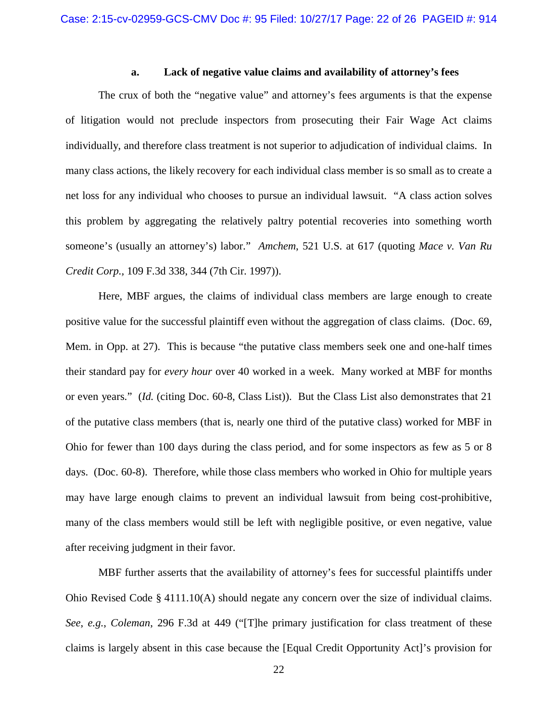## **a. Lack of negative value claims and availability of attorney's fees**

The crux of both the "negative value" and attorney's fees arguments is that the expense of litigation would not preclude inspectors from prosecuting their Fair Wage Act claims individually, and therefore class treatment is not superior to adjudication of individual claims. In many class actions, the likely recovery for each individual class member is so small as to create a net loss for any individual who chooses to pursue an individual lawsuit. "A class action solves this problem by aggregating the relatively paltry potential recoveries into something worth someone's (usually an attorney's) labor." *Amchem*, 521 U.S. at 617 (quoting *Mace v. Van Ru Credit Corp.,* 109 F.3d 338, 344 (7th Cir. 1997)).

Here, MBF argues, the claims of individual class members are large enough to create positive value for the successful plaintiff even without the aggregation of class claims. (Doc. 69, Mem. in Opp. at 27). This is because "the putative class members seek one and one-half times their standard pay for *every hour* over 40 worked in a week. Many worked at MBF for months or even years." (*Id.* (citing Doc. 60-8, Class List)). But the Class List also demonstrates that 21 of the putative class members (that is, nearly one third of the putative class) worked for MBF in Ohio for fewer than 100 days during the class period, and for some inspectors as few as 5 or 8 days. (Doc. 60-8). Therefore, while those class members who worked in Ohio for multiple years may have large enough claims to prevent an individual lawsuit from being cost-prohibitive, many of the class members would still be left with negligible positive, or even negative, value after receiving judgment in their favor.

MBF further asserts that the availability of attorney's fees for successful plaintiffs under Ohio Revised Code § 4111.10(A) should negate any concern over the size of individual claims. *See*, *e.g.*, *Coleman*, 296 F.3d at 449 ("[T]he primary justification for class treatment of these claims is largely absent in this case because the [Equal Credit Opportunity Act]'s provision for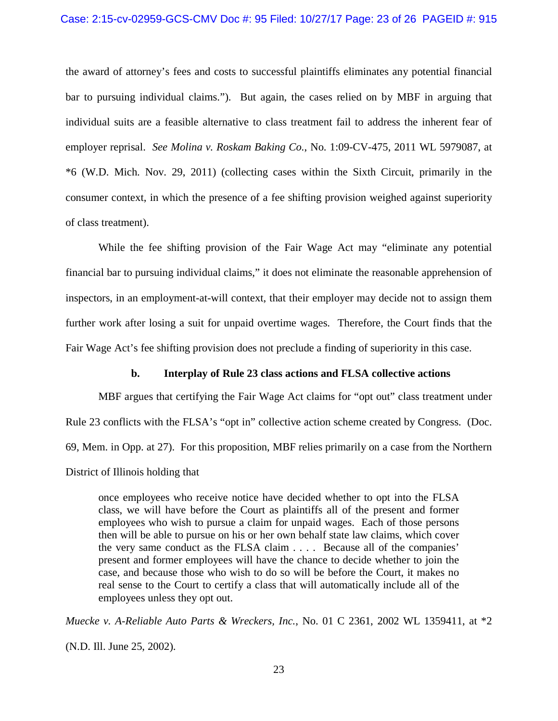#### Case: 2:15-cv-02959-GCS-CMV Doc #: 95 Filed: 10/27/17 Page: 23 of 26 PAGEID #: 915

the award of attorney's fees and costs to successful plaintiffs eliminates any potential financial bar to pursuing individual claims."). But again, the cases relied on by MBF in arguing that individual suits are a feasible alternative to class treatment fail to address the inherent fear of employer reprisal. *See Molina v. Roskam Baking Co.*, No. 1:09-CV-475, 2011 WL 5979087, at \*6 (W.D. Mich. Nov. 29, 2011) (collecting cases within the Sixth Circuit, primarily in the consumer context, in which the presence of a fee shifting provision weighed against superiority of class treatment).

While the fee shifting provision of the Fair Wage Act may "eliminate any potential financial bar to pursuing individual claims," it does not eliminate the reasonable apprehension of inspectors, in an employment-at-will context, that their employer may decide not to assign them further work after losing a suit for unpaid overtime wages. Therefore, the Court finds that the Fair Wage Act's fee shifting provision does not preclude a finding of superiority in this case.

### **b. Interplay of Rule 23 class actions and FLSA collective actions**

MBF argues that certifying the Fair Wage Act claims for "opt out" class treatment under Rule 23 conflicts with the FLSA's "opt in" collective action scheme created by Congress. (Doc. 69, Mem. in Opp. at 27). For this proposition, MBF relies primarily on a case from the Northern District of Illinois holding that

once employees who receive notice have decided whether to opt into the FLSA class, we will have before the Court as plaintiffs all of the present and former employees who wish to pursue a claim for unpaid wages. Each of those persons then will be able to pursue on his or her own behalf state law claims, which cover the very same conduct as the FLSA claim . . . . Because all of the companies' present and former employees will have the chance to decide whether to join the case, and because those who wish to do so will be before the Court, it makes no real sense to the Court to certify a class that will automatically include all of the employees unless they opt out.

*Muecke v. A-Reliable Auto Parts & Wreckers, Inc.*, No. 01 C 2361, 2002 WL 1359411, at \*2 (N.D. Ill. June 25, 2002).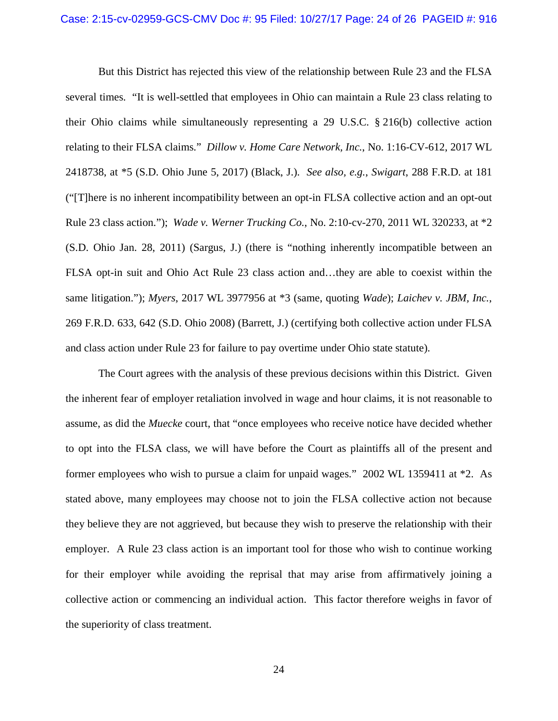But this District has rejected this view of the relationship between Rule 23 and the FLSA several times. "It is well-settled that employees in Ohio can maintain a Rule 23 class relating to their Ohio claims while simultaneously representing a 29 U.S.C. § 216(b) collective action relating to their FLSA claims." *Dillow v. Home Care Network, Inc.*, No. 1:16-CV-612, 2017 WL 2418738, at \*5 (S.D. Ohio June 5, 2017) (Black, J.). *See also, e.g.*, *Swigart*, 288 F.R.D. at 181 ("[T]here is no inherent incompatibility between an opt-in FLSA collective action and an opt-out Rule 23 class action."); *Wade v. Werner Trucking Co.*, No. 2:10-cv-270, 2011 WL 320233, at \*2 (S.D. Ohio Jan. 28, 2011) (Sargus, J.) (there is "nothing inherently incompatible between an FLSA opt-in suit and Ohio Act Rule 23 class action and…they are able to coexist within the same litigation."); *Myers*, 2017 WL 3977956 at \*3 (same, quoting *Wade*); *Laichev v. JBM, Inc.*, 269 F.R.D. 633, 642 (S.D. Ohio 2008) (Barrett, J.) (certifying both collective action under FLSA and class action under Rule 23 for failure to pay overtime under Ohio state statute).

The Court agrees with the analysis of these previous decisions within this District. Given the inherent fear of employer retaliation involved in wage and hour claims, it is not reasonable to assume, as did the *Muecke* court, that "once employees who receive notice have decided whether to opt into the FLSA class, we will have before the Court as plaintiffs all of the present and former employees who wish to pursue a claim for unpaid wages." 2002 WL 1359411 at \*2. As stated above, many employees may choose not to join the FLSA collective action not because they believe they are not aggrieved, but because they wish to preserve the relationship with their employer. A Rule 23 class action is an important tool for those who wish to continue working for their employer while avoiding the reprisal that may arise from affirmatively joining a collective action or commencing an individual action. This factor therefore weighs in favor of the superiority of class treatment.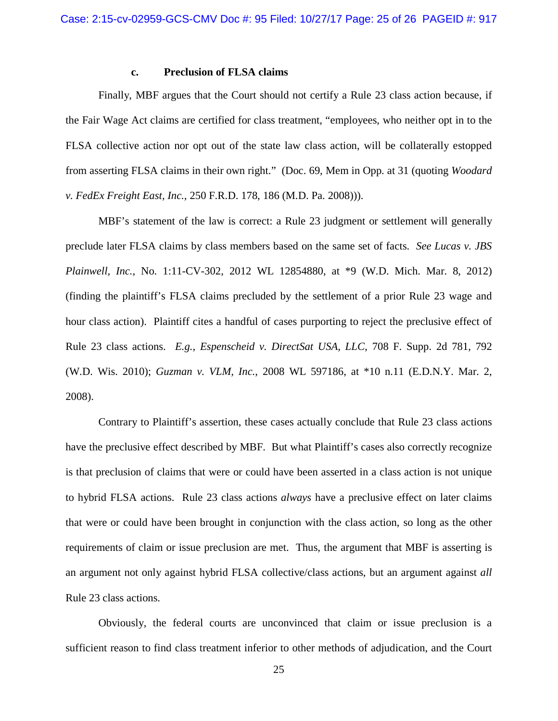### **c. Preclusion of FLSA claims**

Finally, MBF argues that the Court should not certify a Rule 23 class action because, if the Fair Wage Act claims are certified for class treatment, "employees, who neither opt in to the FLSA collective action nor opt out of the state law class action, will be collaterally estopped from asserting FLSA claims in their own right." (Doc. 69, Mem in Opp. at 31 (quoting *Woodard v. FedEx Freight East, Inc.*, 250 F.R.D. 178, 186 (M.D. Pa. 2008))).

MBF's statement of the law is correct: a Rule 23 judgment or settlement will generally preclude later FLSA claims by class members based on the same set of facts. *See Lucas v. JBS Plainwell, Inc.*, No. 1:11-CV-302, 2012 WL 12854880, at \*9 (W.D. Mich. Mar. 8, 2012) (finding the plaintiff's FLSA claims precluded by the settlement of a prior Rule 23 wage and hour class action). Plaintiff cites a handful of cases purporting to reject the preclusive effect of Rule 23 class actions. *E.g.*, *Espenscheid v. DirectSat USA, LLC*, 708 F. Supp. 2d 781, 792 (W.D. Wis. 2010); *Guzman v. VLM, Inc.*, 2008 WL 597186, at \*10 n.11 (E.D.N.Y. Mar. 2, 2008).

Contrary to Plaintiff's assertion, these cases actually conclude that Rule 23 class actions have the preclusive effect described by MBF. But what Plaintiff's cases also correctly recognize is that preclusion of claims that were or could have been asserted in a class action is not unique to hybrid FLSA actions. Rule 23 class actions *always* have a preclusive effect on later claims that were or could have been brought in conjunction with the class action, so long as the other requirements of claim or issue preclusion are met. Thus, the argument that MBF is asserting is an argument not only against hybrid FLSA collective/class actions, but an argument against *all*  Rule 23 class actions.

Obviously, the federal courts are unconvinced that claim or issue preclusion is a sufficient reason to find class treatment inferior to other methods of adjudication, and the Court